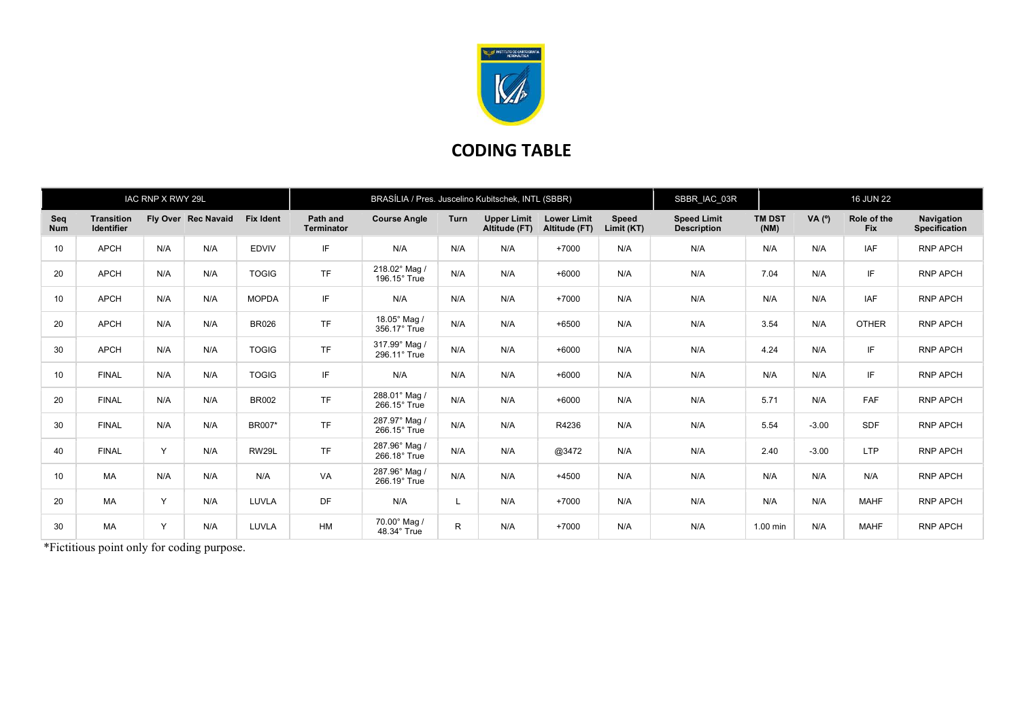

## CODING TABLE

|                   |                                        | IAC RNP X RWY 29L |                     |                  | BRASÍLIA / Pres. Juscelino Kubitschek, INTL (SBBR) |                               |      |                                     |                                     |                            | SBBR IAC 03R                             |                       | <b>16 JUN 22</b> |                           |                                    |
|-------------------|----------------------------------------|-------------------|---------------------|------------------|----------------------------------------------------|-------------------------------|------|-------------------------------------|-------------------------------------|----------------------------|------------------------------------------|-----------------------|------------------|---------------------------|------------------------------------|
| Seq<br><b>Num</b> | <b>Transition</b><br><b>Identifier</b> |                   | Fly Over Rec Navaid | <b>Fix Ident</b> | Path and<br><b>Terminator</b>                      | <b>Course Angle</b>           | Turn | <b>Upper Limit</b><br>Altitude (FT) | <b>Lower Limit</b><br>Altitude (FT) | <b>Speed</b><br>Limit (KT) | <b>Speed Limit</b><br><b>Description</b> | <b>TM DST</b><br>(NM) | VA $(°)$         | Role of the<br><b>Fix</b> | Navigation<br><b>Specification</b> |
| 10                | <b>APCH</b>                            | N/A               | N/A                 | <b>EDVIV</b>     | IF                                                 | N/A                           | N/A  | N/A                                 | $+7000$                             | N/A                        | N/A                                      | N/A                   | N/A              | IAF                       | <b>RNP APCH</b>                    |
| 20                | <b>APCH</b>                            | N/A               | N/A                 | <b>TOGIG</b>     | <b>TF</b>                                          | 218.02° Mag /<br>196.15° True | N/A  | N/A                                 | $+6000$                             | N/A                        | N/A                                      | 7.04                  | N/A              | IF.                       | <b>RNP APCH</b>                    |
| 10                | <b>APCH</b>                            | N/A               | N/A                 | <b>MOPDA</b>     | IF                                                 | N/A                           | N/A  | N/A                                 | $+7000$                             | N/A                        | N/A                                      | N/A                   | N/A              | IAF                       | <b>RNP APCH</b>                    |
| 20                | <b>APCH</b>                            | N/A               | N/A                 | <b>BR026</b>     | <b>TF</b>                                          | 18.05° Mag /<br>356.17° True  | N/A  | N/A                                 | $+6500$                             | N/A                        | N/A                                      | 3.54                  | N/A              | <b>OTHER</b>              | <b>RNP APCH</b>                    |
| 30                | <b>APCH</b>                            | N/A               | N/A                 | <b>TOGIG</b>     | <b>TF</b>                                          | 317.99° Mag /<br>296.11° True | N/A  | N/A                                 | $+6000$                             | N/A                        | N/A                                      | 4.24                  | N/A              | IF.                       | <b>RNP APCH</b>                    |
| 10                | <b>FINAL</b>                           | N/A               | N/A                 | <b>TOGIG</b>     | IF                                                 | N/A                           | N/A  | N/A                                 | $+6000$                             | N/A                        | N/A                                      | N/A                   | N/A              | IF                        | <b>RNP APCH</b>                    |
| 20                | <b>FINAL</b>                           | N/A               | N/A                 | <b>BR002</b>     | <b>TF</b>                                          | 288.01° Mag /<br>266.15° True | N/A  | N/A                                 | $+6000$                             | N/A                        | N/A                                      | 5.71                  | N/A              | FAF                       | <b>RNP APCH</b>                    |
| 30                | <b>FINAL</b>                           | N/A               | N/A                 | BR007*           | <b>TF</b>                                          | 287.97° Mag /<br>266.15° True | N/A  | N/A                                 | R4236                               | N/A                        | N/A                                      | 5.54                  | $-3.00$          | SDF                       | <b>RNP APCH</b>                    |
| 40                | <b>FINAL</b>                           | Y                 | N/A                 | RW29L            | <b>TF</b>                                          | 287.96° Mag /<br>266.18° True | N/A  | N/A                                 | @3472                               | N/A                        | N/A                                      | 2.40                  | $-3.00$          | <b>LTP</b>                | <b>RNP APCH</b>                    |
| 10                | <b>MA</b>                              | N/A               | N/A                 | N/A              | VA                                                 | 287.96° Mag /<br>266.19° True | N/A  | N/A                                 | $+4500$                             | N/A                        | N/A                                      | N/A                   | N/A              | N/A                       | <b>RNP APCH</b>                    |
| 20                | <b>MA</b>                              | Y                 | N/A                 | LUVLA            | DF                                                 | N/A                           | L.   | N/A                                 | $+7000$                             | N/A                        | N/A                                      | N/A                   | N/A              | <b>MAHF</b>               | <b>RNP APCH</b>                    |
| 30                | <b>MA</b>                              | Y                 | N/A                 | LUVLA            | <b>HM</b>                                          | 70.00° Mag /<br>48.34° True   | R.   | N/A                                 | $+7000$                             | N/A                        | N/A                                      | 1.00 min              | N/A              | <b>MAHF</b>               | <b>RNP APCH</b>                    |

\*Fictitious point only for coding purpose.